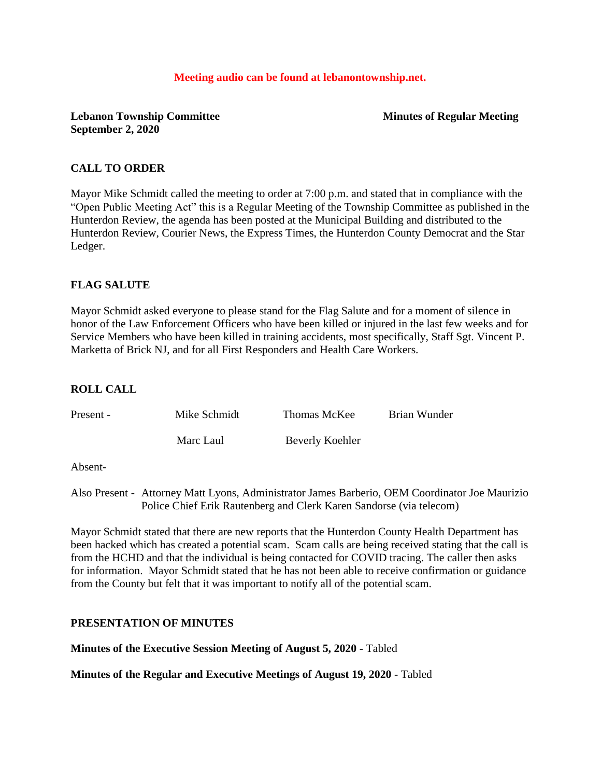#### **Meeting audio can be found at lebanontownship.net.**

# **Lebanon Township Committee Minutes of Regular Meeting September 2, 2020**

### **CALL TO ORDER**

Mayor Mike Schmidt called the meeting to order at 7:00 p.m. and stated that in compliance with the "Open Public Meeting Act" this is a Regular Meeting of the Township Committee as published in the Hunterdon Review, the agenda has been posted at the Municipal Building and distributed to the Hunterdon Review, Courier News, the Express Times, the Hunterdon County Democrat and the Star Ledger.

### **FLAG SALUTE**

Mayor Schmidt asked everyone to please stand for the Flag Salute and for a moment of silence in honor of the Law Enforcement Officers who have been killed or injured in the last few weeks and for Service Members who have been killed in training accidents, most specifically, Staff Sgt. Vincent P. Marketta of Brick NJ, and for all First Responders and Health Care Workers.

# **ROLL CALL**

| Present - | Mike Schmidt | Thomas McKee    | Brian Wunder |
|-----------|--------------|-----------------|--------------|
|           | Marc Laul    | Beverly Koehler |              |

Absent-

Also Present - Attorney Matt Lyons, Administrator James Barberio, OEM Coordinator Joe Maurizio Police Chief Erik Rautenberg and Clerk Karen Sandorse (via telecom)

Mayor Schmidt stated that there are new reports that the Hunterdon County Health Department has been hacked which has created a potential scam. Scam calls are being received stating that the call is from the HCHD and that the individual is being contacted for COVID tracing. The caller then asks for information. Mayor Schmidt stated that he has not been able to receive confirmation or guidance from the County but felt that it was important to notify all of the potential scam.

#### **PRESENTATION OF MINUTES**

**Minutes of the Executive Session Meeting of August 5, 2020 -** Tabled

**Minutes of the Regular and Executive Meetings of August 19, 2020 -** Tabled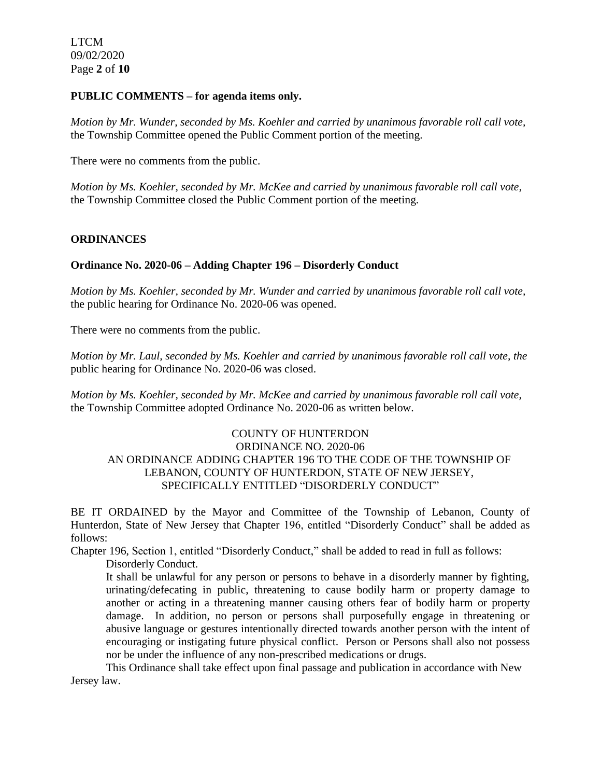### **PUBLIC COMMENTS – for agenda items only.**

*Motion by Mr. Wunder, seconded by Ms. Koehler and carried by unanimous favorable roll call vote,* the Township Committee opened the Public Comment portion of the meeting.

There were no comments from the public.

*Motion by Ms. Koehler, seconded by Mr. McKee and carried by unanimous favorable roll call vote,* the Township Committee closed the Public Comment portion of the meeting.

### **ORDINANCES**

### **Ordinance No. 2020-06 – Adding Chapter 196 – Disorderly Conduct**

*Motion by Ms. Koehler, seconded by Mr. Wunder and carried by unanimous favorable roll call vote,* the public hearing for Ordinance No. 2020-06 was opened.

There were no comments from the public.

*Motion by Mr. Laul, seconded by Ms. Koehler and carried by unanimous favorable roll call vote, the* public hearing for Ordinance No. 2020-06 was closed.

*Motion by Ms. Koehler, seconded by Mr. McKee and carried by unanimous favorable roll call vote,*  the Township Committee adopted Ordinance No. 2020-06 as written below.

# COUNTY OF HUNTERDON ORDINANCE NO. 2020-06 AN ORDINANCE ADDING CHAPTER 196 TO THE CODE OF THE TOWNSHIP OF LEBANON, COUNTY OF HUNTERDON, STATE OF NEW JERSEY, SPECIFICALLY ENTITLED "DISORDERLY CONDUCT"

BE IT ORDAINED by the Mayor and Committee of the Township of Lebanon, County of Hunterdon, State of New Jersey that Chapter 196, entitled "Disorderly Conduct" shall be added as follows:

Chapter 196, Section 1, entitled "Disorderly Conduct," shall be added to read in full as follows:

Disorderly Conduct.

It shall be unlawful for any person or persons to behave in a disorderly manner by fighting, urinating/defecating in public, threatening to cause bodily harm or property damage to another or acting in a threatening manner causing others fear of bodily harm or property damage. In addition, no person or persons shall purposefully engage in threatening or abusive language or gestures intentionally directed towards another person with the intent of encouraging or instigating future physical conflict. Person or Persons shall also not possess nor be under the influence of any non-prescribed medications or drugs.

This Ordinance shall take effect upon final passage and publication in accordance with New Jersey law.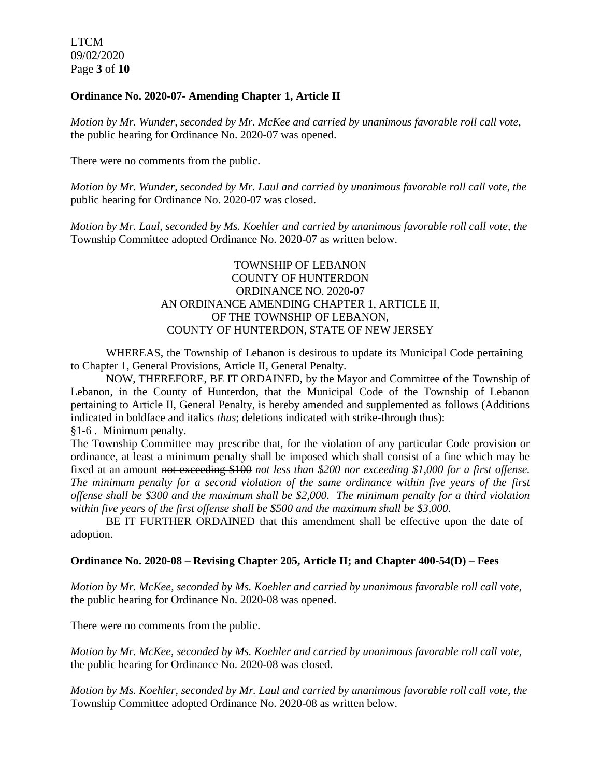LTCM 09/02/2020 Page **3** of **10**

### **Ordinance No. 2020-07- Amending Chapter 1, Article II**

*Motion by Mr. Wunder, seconded by Mr. McKee and carried by unanimous favorable roll call vote,* the public hearing for Ordinance No. 2020-07 was opened.

There were no comments from the public.

*Motion by Mr. Wunder, seconded by Mr. Laul and carried by unanimous favorable roll call vote, the* public hearing for Ordinance No. 2020-07 was closed.

*Motion by Mr. Laul, seconded by Ms. Koehler and carried by unanimous favorable roll call vote, the* Township Committee adopted Ordinance No. 2020-07 as written below.

# TOWNSHIP OF LEBANON COUNTY OF HUNTERDON ORDINANCE NO. 2020-07 AN ORDINANCE AMENDING CHAPTER 1, ARTICLE II, OF THE TOWNSHIP OF LEBANON, COUNTY OF HUNTERDON, STATE OF NEW JERSEY

WHEREAS, the Township of Lebanon is desirous to update its Municipal Code pertaining to Chapter 1, General Provisions, Article II, General Penalty.

NOW, THEREFORE, BE IT ORDAINED, by the Mayor and Committee of the Township of Lebanon, in the County of Hunterdon, that the Municipal Code of the Township of Lebanon pertaining to Article II, General Penalty, is hereby amended and supplemented as follows (Additions indicated in boldface and italics *thus*; deletions indicated with strike-through thus):

[§1-6 . Minimum penalty.](https://ecode360.com/6915992#6915992) 

The Township Committee may prescribe that, for the violation of any particular Code provision or ordinance, at least a minimum penalty shall be imposed which shall consist of a fine which may be fixed at an amount not exceeding \$100 *not less than \$200 nor exceeding \$1,000 for a first offense. The minimum penalty for a second violation of the same ordinance within five years of the first offense shall be \$300 and the maximum shall be \$2,000. The minimum penalty for a third violation within five years of the first offense shall be \$500 and the maximum shall be \$3,000*.

BE IT FURTHER ORDAINED that this amendment shall be effective upon the date of adoption.

#### **Ordinance No. 2020-08 – Revising Chapter 205, Article II; and Chapter 400-54(D) – Fees**

*Motion by Mr. McKee, seconded by Ms. Koehler and carried by unanimous favorable roll call vote,* the public hearing for Ordinance No. 2020-08 was opened.

There were no comments from the public.

*Motion by Mr. McKee, seconded by Ms. Koehler and carried by unanimous favorable roll call vote,*  the public hearing for Ordinance No. 2020-08 was closed.

*Motion by Ms. Koehler, seconded by Mr. Laul and carried by unanimous favorable roll call vote, the* Township Committee adopted Ordinance No. 2020-08 as written below.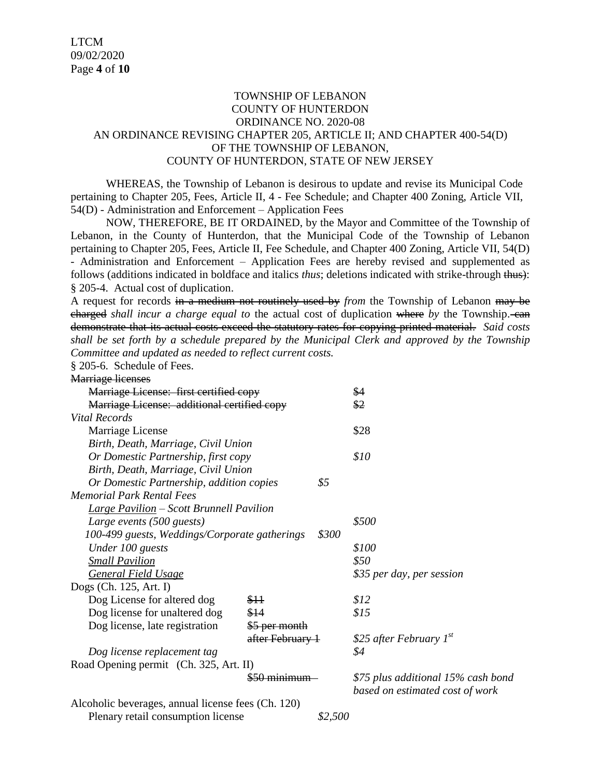# TOWNSHIP OF LEBANON COUNTY OF HUNTERDON ORDINANCE NO. 2020-08 AN ORDINANCE REVISING CHAPTER 205, ARTICLE II; AND CHAPTER 400-54(D) OF THE TOWNSHIP OF LEBANON, COUNTY OF HUNTERDON, STATE OF NEW JERSEY

WHEREAS, the Township of Lebanon is desirous to update and revise its Municipal Code pertaining to Chapter 205, Fees, Article II, 4 - Fee Schedule; and Chapter 400 Zoning, Article VII, 54(D) - Administration and Enforcement – Application Fees

NOW, THEREFORE, BE IT ORDAINED, by the Mayor and Committee of the Township of Lebanon, in the County of Hunterdon, that the Municipal Code of the Township of Lebanon pertaining to Chapter 205, Fees, Article II, Fee Schedule, and Chapter 400 Zoning, Article VII, 54(D) - Administration and Enforcement – Application Fees are hereby revised and supplemented as follows (additions indicated in boldface and italics *thus*; deletions indicated with strike-through thus): § [205-4. Actual cost of duplication.](https://ecode360.com/6915992#6915992) 

A request for records in a medium not routinely used by *from* the Township of Lebanon may be charged *shall incur a charge equal to* the actual cost of duplication where *by* the Township. can demonstrate that its actual costs exceed the statutory rates for copying printed material. *Said costs shall be set forth by a schedule prepared by the Municipal Clerk and approved by the Township Committee and updated as needed to reflect current costs.*

[§ 205-6. Schedule of Fees.](https://ecode360.com/6915992#6915992) 

| <b>Marriage licenses</b>                           |                           |       |                                    |
|----------------------------------------------------|---------------------------|-------|------------------------------------|
| Marriage License: first certified copy             |                           | \$4   |                                    |
| Marriage License: additional certified copy        |                           | \$2   |                                    |
| Vital Records                                      |                           |       |                                    |
| Marriage License                                   |                           |       | \$28                               |
| Birth, Death, Marriage, Civil Union                |                           |       |                                    |
| Or Domestic Partnership, first copy                | \$10                      |       |                                    |
| Birth, Death, Marriage, Civil Union                |                           |       |                                    |
| \$5<br>Or Domestic Partnership, addition copies    |                           |       |                                    |
| <b>Memorial Park Rental Fees</b>                   |                           |       |                                    |
| <b>Large Pavilion – Scott Brunnell Pavilion</b>    |                           |       |                                    |
| Large events (500 guests)                          |                           |       | \$500                              |
| 100-499 guests, Weddings/Corporate gatherings      |                           | \$300 |                                    |
| Under 100 guests                                   |                           |       | \$100                              |
| <b>Small Pavilion</b>                              |                           |       | \$50                               |
| <b>General Field Usage</b>                         |                           |       | \$35 per day, per session          |
| Dogs (Ch. 125, Art. I)                             |                           |       |                                    |
| Dog License for altered dog                        | $$+1$                     |       | \$12                               |
| Dog license for unaltered dog                      | \$14                      |       | \$15                               |
| Dog license, late registration                     | \$5 per month             |       |                                    |
|                                                    | after February 1          |       | \$25 after February $I^{st}$       |
| Dog license replacement tag                        |                           |       | \$4                                |
| Road Opening permit (Ch. 325, Art. II)             |                           |       |                                    |
|                                                    | <del>\$50 minimum -</del> |       | \$75 plus additional 15% cash bond |
|                                                    |                           |       | based on estimated cost of work    |
| Alcoholic beverages, annual license fees (Ch. 120) |                           |       |                                    |

Plenary retail consumption license *\$2,500*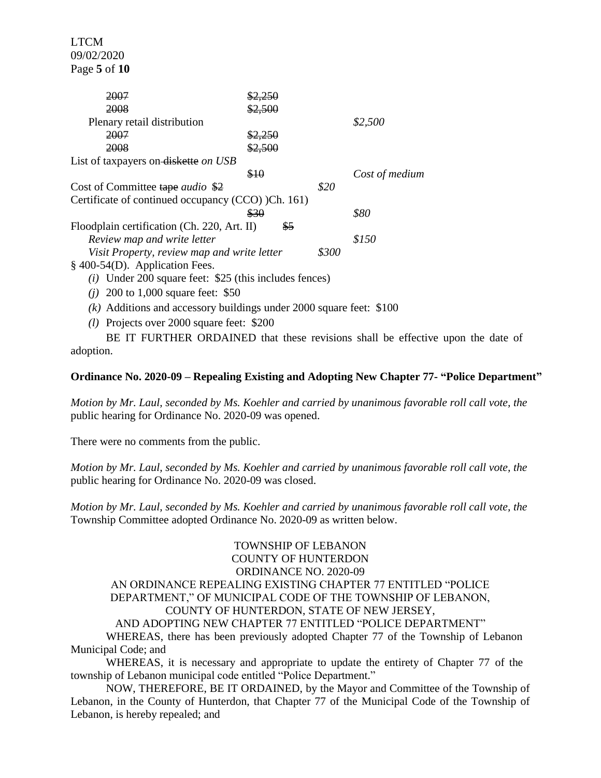LTCM 09/02/2020 Page **5** of **10**

| 2007                                                                  |         |      |                |  |  |
|-----------------------------------------------------------------------|---------|------|----------------|--|--|
| 2008                                                                  | \$2,500 |      |                |  |  |
| Plenary retail distribution                                           |         |      | \$2,500        |  |  |
| 2007                                                                  | \$2,250 |      |                |  |  |
| 2008                                                                  | \$2,500 |      |                |  |  |
| List of taxpayers on diskette on USB                                  |         |      |                |  |  |
|                                                                       | \$10    |      | Cost of medium |  |  |
| Cost of Committee tape <i>audio</i> \$2                               |         | \$20 |                |  |  |
| Certificate of continued occupancy (CCO) )Ch. 161)                    |         |      |                |  |  |
|                                                                       | \$30    |      | \$80           |  |  |
| Floodplain certification (Ch. 220, Art. II)<br>\$5                    |         |      |                |  |  |
| Review map and write letter                                           |         |      | \$150          |  |  |
| Visit Property, review map and write letter                           |         |      |                |  |  |
| § 400-54(D). Application Fees.                                        |         |      |                |  |  |
| $(i)$ Under 200 square feet: \$25 (this includes fences)              |         |      |                |  |  |
| 200 to 1,000 square feet: \$50<br>(i)                                 |         |      |                |  |  |
| $(k)$ Additions and accessory buildings under 2000 square feet: \$100 |         |      |                |  |  |

*(l)* Projects over 2000 square feet: \$200

BE IT FURTHER ORDAINED that these revisions shall be effective upon the date of adoption.

### **Ordinance No. 2020-09 – Repealing Existing and Adopting New Chapter 77- "Police Department"**

*Motion by Mr. Laul, seconded by Ms. Koehler and carried by unanimous favorable roll call vote, the* public hearing for Ordinance No. 2020-09 was opened.

There were no comments from the public.

*Motion by Mr. Laul, seconded by Ms. Koehler and carried by unanimous favorable roll call vote, the* public hearing for Ordinance No. 2020-09 was closed.

*Motion by Mr. Laul, seconded by Ms. Koehler and carried by unanimous favorable roll call vote, the* Township Committee adopted Ordinance No. 2020-09 as written below.

# TOWNSHIP OF LEBANON COUNTY OF HUNTERDON ORDINANCE NO. 2020-09 AN ORDINANCE REPEALING EXISTING CHAPTER 77 ENTITLED "POLICE DEPARTMENT," OF MUNICIPAL CODE OF THE TOWNSHIP OF LEBANON, COUNTY OF HUNTERDON, STATE OF NEW JERSEY,

#### AND ADOPTING NEW CHAPTER 77 ENTITLED "POLICE DEPARTMENT" WHEREAS, there has been previously adopted Chapter 77 of the Township of Lebanon

Municipal Code; and

WHEREAS, it is necessary and appropriate to update the entirety of Chapter 77 of the township of Lebanon municipal code entitled "Police Department."

NOW, THEREFORE, BE IT ORDAINED, by the Mayor and Committee of the Township of Lebanon, in the County of Hunterdon, that Chapter 77 of the Municipal Code of the Township of Lebanon, is hereby repealed; and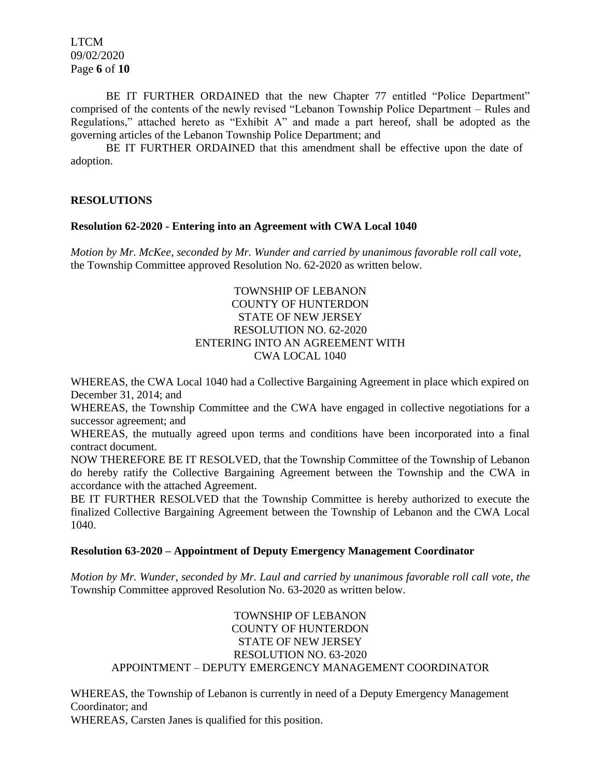LTCM 09/02/2020 Page **6** of **10**

BE IT FURTHER ORDAINED that the new Chapter 77 entitled "Police Department" comprised of the contents of the newly revised "Lebanon Township Police Department – Rules and Regulations," attached hereto as "Exhibit A" and made a part hereof, shall be adopted as the governing articles of the Lebanon Township Police Department; and

BE IT FURTHER ORDAINED that this amendment shall be effective upon the date of adoption.

### **RESOLUTIONS**

#### **Resolution 62-2020 - Entering into an Agreement with CWA Local 1040**

*Motion by Mr. McKee, seconded by Mr. Wunder and carried by unanimous favorable roll call vote,* the Township Committee approved Resolution No. 62-2020 as written below.

# TOWNSHIP OF LEBANON COUNTY OF HUNTERDON STATE OF NEW JERSEY RESOLUTION NO. 62-2020 ENTERING INTO AN AGREEMENT WITH CWA LOCAL 1040

WHEREAS, the CWA Local 1040 had a Collective Bargaining Agreement in place which expired on December 31, 2014; and

WHEREAS, the Township Committee and the CWA have engaged in collective negotiations for a successor agreement; and

WHEREAS, the mutually agreed upon terms and conditions have been incorporated into a final contract document.

NOW THEREFORE BE IT RESOLVED, that the Township Committee of the Township of Lebanon do hereby ratify the Collective Bargaining Agreement between the Township and the CWA in accordance with the attached Agreement.

BE IT FURTHER RESOLVED that the Township Committee is hereby authorized to execute the finalized Collective Bargaining Agreement between the Township of Lebanon and the CWA Local 1040.

### **Resolution 63-2020 – Appointment of Deputy Emergency Management Coordinator**

*Motion by Mr. Wunder, seconded by Mr. Laul and carried by unanimous favorable roll call vote, the* Township Committee approved Resolution No. 63-2020 as written below.

# TOWNSHIP OF LEBANON COUNTY OF HUNTERDON STATE OF NEW JERSEY RESOLUTION NO. 63-2020 APPOINTMENT – DEPUTY EMERGENCY MANAGEMENT COORDINATOR

WHEREAS, the Township of Lebanon is currently in need of a Deputy Emergency Management Coordinator; and WHEREAS, Carsten Janes is qualified for this position.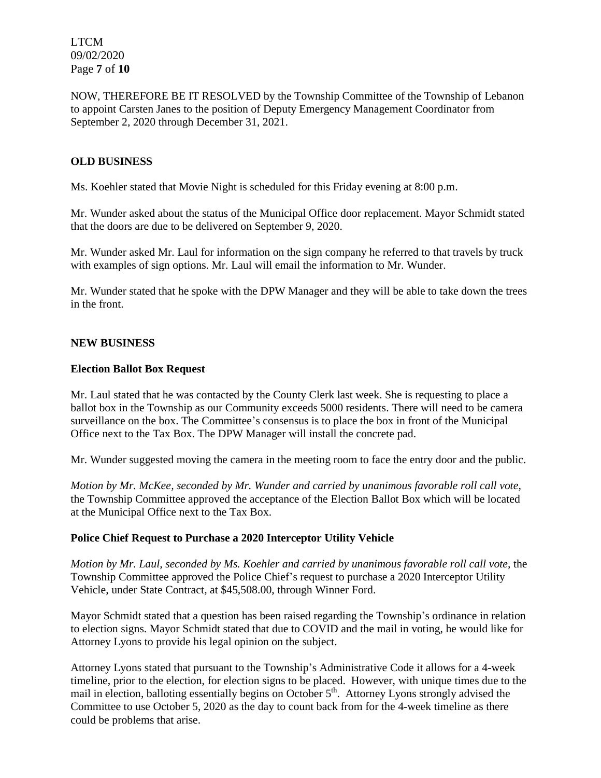LTCM 09/02/2020 Page **7** of **10**

NOW, THEREFORE BE IT RESOLVED by the Township Committee of the Township of Lebanon to appoint Carsten Janes to the position of Deputy Emergency Management Coordinator from September 2, 2020 through December 31, 2021.

### **OLD BUSINESS**

Ms. Koehler stated that Movie Night is scheduled for this Friday evening at 8:00 p.m.

Mr. Wunder asked about the status of the Municipal Office door replacement. Mayor Schmidt stated that the doors are due to be delivered on September 9, 2020.

Mr. Wunder asked Mr. Laul for information on the sign company he referred to that travels by truck with examples of sign options. Mr. Laul will email the information to Mr. Wunder.

Mr. Wunder stated that he spoke with the DPW Manager and they will be able to take down the trees in the front.

#### **NEW BUSINESS**

#### **Election Ballot Box Request**

Mr. Laul stated that he was contacted by the County Clerk last week. She is requesting to place a ballot box in the Township as our Community exceeds 5000 residents. There will need to be camera surveillance on the box. The Committee's consensus is to place the box in front of the Municipal Office next to the Tax Box. The DPW Manager will install the concrete pad.

Mr. Wunder suggested moving the camera in the meeting room to face the entry door and the public.

*Motion by Mr. McKee, seconded by Mr. Wunder and carried by unanimous favorable roll call vote,* the Township Committee approved the acceptance of the Election Ballot Box which will be located at the Municipal Office next to the Tax Box.

#### **Police Chief Request to Purchase a 2020 Interceptor Utility Vehicle**

*Motion by Mr. Laul, seconded by Ms. Koehler and carried by unanimous favorable roll call vote,* the Township Committee approved the Police Chief's request to purchase a 2020 Interceptor Utility Vehicle, under State Contract, at \$45,508.00, through Winner Ford.

Mayor Schmidt stated that a question has been raised regarding the Township's ordinance in relation to election signs. Mayor Schmidt stated that due to COVID and the mail in voting, he would like for Attorney Lyons to provide his legal opinion on the subject.

Attorney Lyons stated that pursuant to the Township's Administrative Code it allows for a 4-week timeline, prior to the election, for election signs to be placed. However, with unique times due to the mail in election, balloting essentially begins on October 5<sup>th</sup>. Attorney Lyons strongly advised the Committee to use October 5, 2020 as the day to count back from for the 4-week timeline as there could be problems that arise.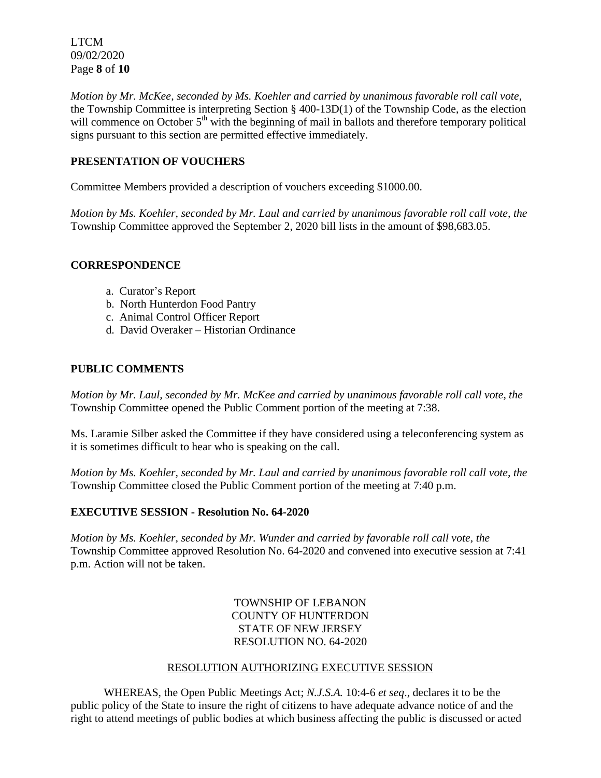LTCM 09/02/2020 Page **8** of **10**

*Motion by Mr. McKee, seconded by Ms. Koehler and carried by unanimous favorable roll call vote,* the Township Committee is interpreting Section § 400-13D(1) of the Township Code, as the election will commence on October 5<sup>th</sup> with the beginning of mail in ballots and therefore temporary political signs pursuant to this section are permitted effective immediately.

# **PRESENTATION OF VOUCHERS**

Committee Members provided a description of vouchers exceeding \$1000.00.

*Motion by Ms. Koehler, seconded by Mr. Laul and carried by unanimous favorable roll call vote, the* Township Committee approved the September 2, 2020 bill lists in the amount of \$98,683.05.

### **CORRESPONDENCE**

- a. Curator's Report
- b. North Hunterdon Food Pantry
- c. Animal Control Officer Report
- d. David Overaker Historian Ordinance

### **PUBLIC COMMENTS**

*Motion by Mr. Laul, seconded by Mr. McKee and carried by unanimous favorable roll call vote, the* Township Committee opened the Public Comment portion of the meeting at 7:38.

Ms. Laramie Silber asked the Committee if they have considered using a teleconferencing system as it is sometimes difficult to hear who is speaking on the call.

*Motion by Ms. Koehler, seconded by Mr. Laul and carried by unanimous favorable roll call vote, the* Township Committee closed the Public Comment portion of the meeting at 7:40 p.m.

# **EXECUTIVE SESSION - Resolution No. 64-2020**

*Motion by Ms. Koehler, seconded by Mr. Wunder and carried by favorable roll call vote, the* Township Committee approved Resolution No. 64-2020 and convened into executive session at 7:41 p.m. Action will not be taken.

> TOWNSHIP OF LEBANON COUNTY OF HUNTERDON STATE OF NEW JERSEY RESOLUTION NO. 64-2020

#### RESOLUTION AUTHORIZING EXECUTIVE SESSION

WHEREAS, the Open Public Meetings Act; *N.J.S.A.* 10:4-6 *et seq*., declares it to be the public policy of the State to insure the right of citizens to have adequate advance notice of and the right to attend meetings of public bodies at which business affecting the public is discussed or acted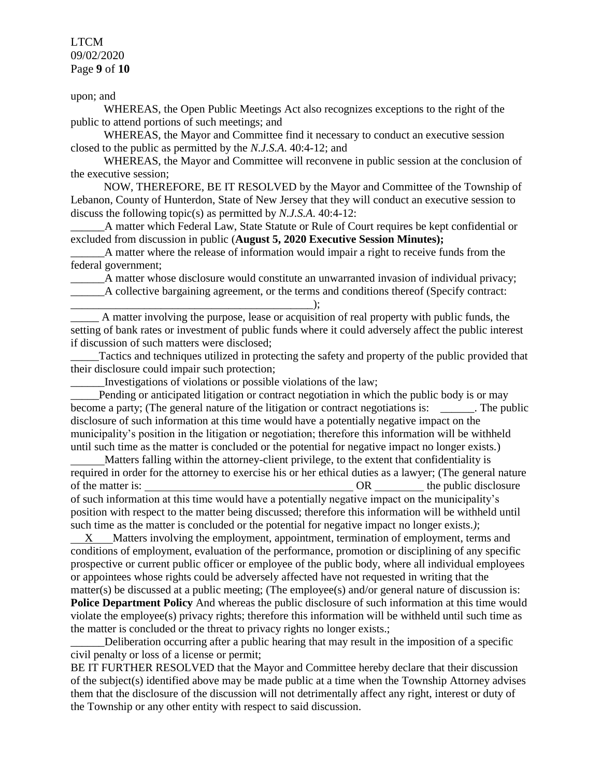# LTCM 09/02/2020 Page **9** of **10**

upon; and

WHEREAS, the Open Public Meetings Act also recognizes exceptions to the right of the public to attend portions of such meetings; and

WHEREAS, the Mayor and Committee find it necessary to conduct an executive session closed to the public as permitted by the *N.J.S.A*. 40:4-12; and

WHEREAS, the Mayor and Committee will reconvene in public session at the conclusion of the executive session;

NOW, THEREFORE, BE IT RESOLVED by the Mayor and Committee of the Township of Lebanon, County of Hunterdon, State of New Jersey that they will conduct an executive session to discuss the following topic(s) as permitted by *N.J.S.A*. 40:4-12:

\_\_\_\_\_\_A matter which Federal Law, State Statute or Rule of Court requires be kept confidential or excluded from discussion in public (**August 5, 2020 Executive Session Minutes);**

 $\Delta$  matter where the release of information would impair a right to receive funds from the federal government;

A matter whose disclosure would constitute an unwarranted invasion of individual privacy; \_\_\_\_\_\_A collective bargaining agreement, or the terms and conditions thereof (Specify contract:

\_\_\_\_\_\_\_\_\_\_\_\_\_\_\_\_\_\_\_\_\_\_\_\_\_\_\_\_\_\_\_\_\_\_\_\_\_\_\_\_\_\_\_); \_\_\_\_\_ A matter involving the purpose, lease or acquisition of real property with public funds, the setting of bank rates or investment of public funds where it could adversely affect the public interest if discussion of such matters were disclosed;

\_\_\_\_\_Tactics and techniques utilized in protecting the safety and property of the public provided that their disclosure could impair such protection;

\_\_\_\_\_\_Investigations of violations or possible violations of the law;

Pending or anticipated litigation or contract negotiation in which the public body is or may become a party; (The general nature of the litigation or contract negotiations is: \_\_\_\_\_\_. The public disclosure of such information at this time would have a potentially negative impact on the municipality's position in the litigation or negotiation; therefore this information will be withheld until such time as the matter is concluded or the potential for negative impact no longer exists.)

 Matters falling within the attorney-client privilege, to the extent that confidentiality is required in order for the attorney to exercise his or her ethical duties as a lawyer; (The general nature of the matter is: OR the public disclosure of such information at this time would have a potentially negative impact on the municipality's position with respect to the matter being discussed; therefore this information will be withheld until such time as the matter is concluded or the potential for negative impact no longer exists.*)*;

 X Matters involving the employment, appointment, termination of employment, terms and conditions of employment, evaluation of the performance, promotion or disciplining of any specific prospective or current public officer or employee of the public body, where all individual employees or appointees whose rights could be adversely affected have not requested in writing that the matter(s) be discussed at a public meeting; (The employee(s) and/or general nature of discussion is: **Police Department Policy** And whereas the public disclosure of such information at this time would violate the employee(s) privacy rights; therefore this information will be withheld until such time as the matter is concluded or the threat to privacy rights no longer exists.;

Deliberation occurring after a public hearing that may result in the imposition of a specific civil penalty or loss of a license or permit;

BE IT FURTHER RESOLVED that the Mayor and Committee hereby declare that their discussion of the subject(s) identified above may be made public at a time when the Township Attorney advises them that the disclosure of the discussion will not detrimentally affect any right, interest or duty of the Township or any other entity with respect to said discussion.